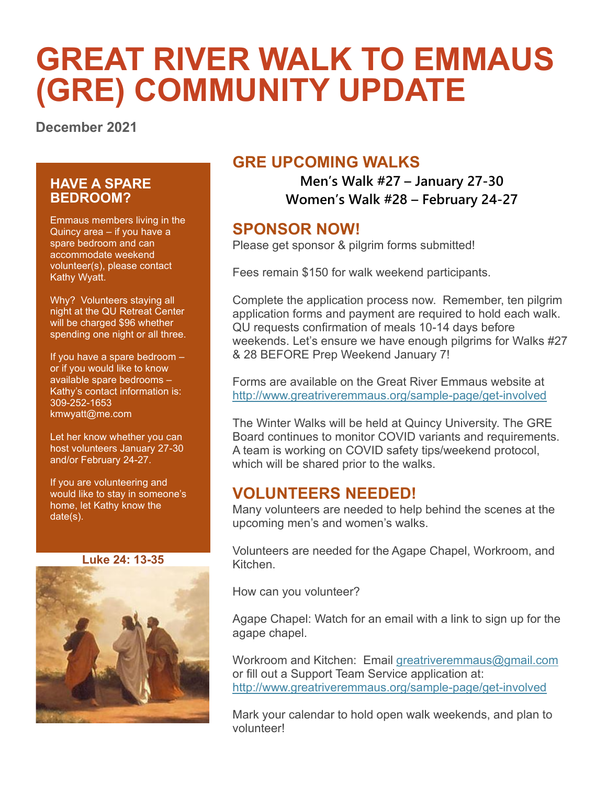# **GREAT RIVER WALK TO EMMAUS (GRE) COMMUNITY UPDATE**

**December 2021**

#### **HAVE A SPARE BEDROOM?**

Emmaus members living in the Quincy area – if you have a spare bedroom and can accommodate weekend volunteer(s), please contact Kathy Wyatt.

Why? Volunteers staying all night at the QU Retreat Center will be charged \$96 whether spending one night or all three.

If you have a spare bedroom – or if you would like to know available spare bedrooms – Kathy's contact information is: 309-252-1653 [kmwyatt@me.com](mailto:kmwyatt@me.com)

Let her know whether you can host volunteers January 27-30 and/or February 24-27.

If you are volunteering and would like to stay in someone's home, let Kathy know the date(s).

**Luke 24: 13-35**



## **GRE UPCOMING WALKS**

**Men's Walk #27 – January 27-30 Women's Walk #28 – February 24-27**

## **SPONSOR NOW!**

Please get sponsor & pilgrim forms submitted!

Fees remain \$150 for walk weekend participants.

Complete the application process now. Remember, ten pilgrim application forms and payment are required to hold each walk. QU requests confirmation of meals 10-14 days before weekends. Let's ensure we have enough pilgrims for Walks #27 & 28 BEFORE Prep Weekend January 7!

Forms are available on the Great River Emmaus website at <http://www.greatriveremmaus.org/sample-page/get-involved>

The Winter Walks will be held at Quincy University. The GRE Board continues to monitor COVID variants and requirements. A team is working on COVID safety tips/weekend protocol, which will be shared prior to the walks.

## **VOLUNTEERS NEEDED!**

Many volunteers are needed to help behind the scenes at the upcoming men's and women's walks.

Volunteers are needed for the Agape Chapel, Workroom, and Kitchen.

How can you volunteer?

Agape Chapel: Watch for an email with a link to sign up for the agape chapel.

Workroom and Kitchen: Email [greatriveremmaus@gmail.com](mailto:greatriveremmaus@gmail.com) or fill out a Support Team Service application at: <http://www.greatriveremmaus.org/sample-page/get-involved>

Mark your calendar to hold open walk weekends, and plan to volunteer!